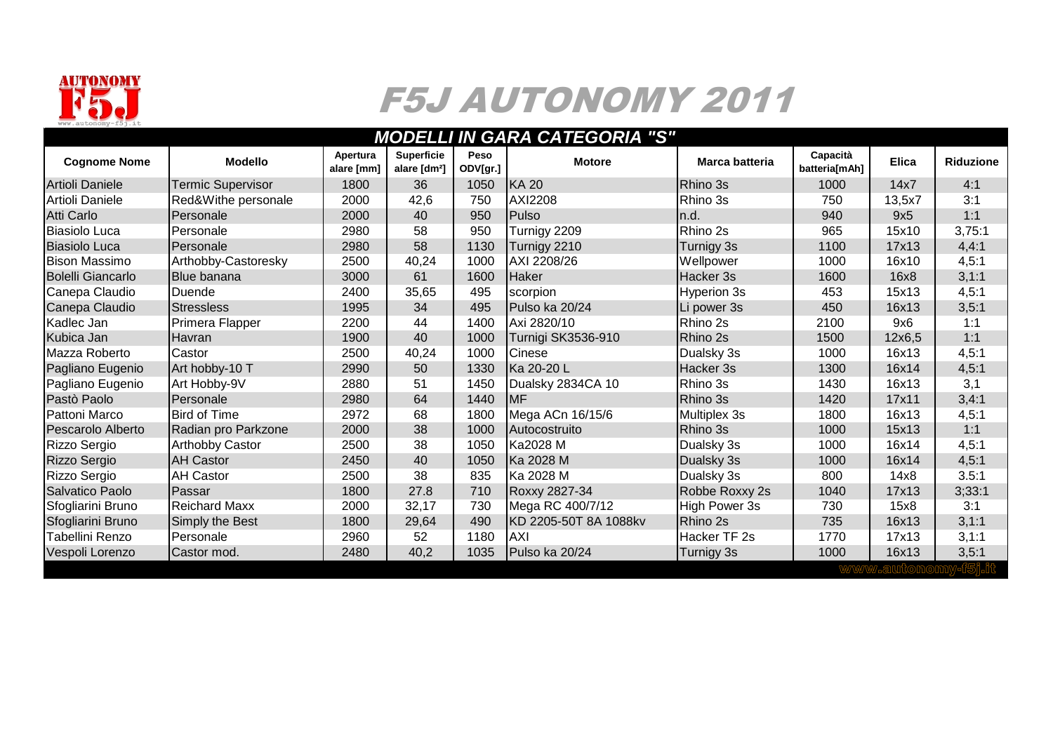

## F5J AUTONOMY 2011

## *MODELLI IN GARA CATEGORIA "S"*

| <b>Cognome Nome</b>      | <b>Modello</b>           | Apertura<br>alare [mm] | <b>Superficie</b><br>alare [dm <sup>2</sup> ] | Peso<br>ODV[gr.] | <b>Motore</b>         | Marca batteria       | Capacità<br>batteria[mAh] | <b>Elica</b> | <b>Riduzione</b> |
|--------------------------|--------------------------|------------------------|-----------------------------------------------|------------------|-----------------------|----------------------|---------------------------|--------------|------------------|
| Artioli Daniele          | <b>Termic Supervisor</b> | 1800                   | 36                                            | 1050             | <b>IKA 20</b>         | Rhino 3s             | 1000                      | 14x7         | 4:1              |
| Artioli Daniele          | Red&Withe personale      | 2000                   | 42,6                                          | 750              | <b>AXI2208</b>        | Rhino 3s             | 750                       | 13,5x7       | 3:1              |
| <b>Atti Carlo</b>        | <b>I</b> Personale       | 2000                   | 40                                            | 950              | Pulso                 | In.d.                | 940                       | 9x5          | 1:1              |
| <b>Biasiolo Luca</b>     | Personale                | 2980                   | 58                                            | 950              | Turnigy 2209          | Rhino 2s             | 965                       | 15x10        | 3,75:1           |
| <b>Biasiolo Luca</b>     | <b>IPersonale</b>        | 2980                   | 58                                            | 1130             | Turnigy 2210          | Turnigy 3s           | 1100                      | 17x13        | 4,4:1            |
| <b>Bison Massimo</b>     | Arthobby-Castoresky      | 2500                   | 40,24                                         | 1000             | AXI 2208/26           | Wellpower            | 1000                      | 16x10        | 4,5:1            |
| <b>Bolelli Giancarlo</b> | <b>Blue banana</b>       | 3000                   | 61                                            | 1600             | <b>Haker</b>          | Hacker 3s            | 1600                      | 16x8         | 3, 1:1           |
| Canepa Claudio           | <b>IDuende</b>           | 2400                   | 35,65                                         | 495              | scorpion              | <b>Hyperion 3s</b>   | 453                       | 15x13        | 4,5:1            |
| Canepa Claudio           | <b>Stressless</b>        | 1995                   | 34                                            | 495              | Pulso ka 20/24        | Li power 3s          | 450                       | 16x13        | 3,5:1            |
| Kadlec Jan               | Primera Flapper          | 2200                   | 44                                            | 1400             | Axi 2820/10           | Rhino 2s             | 2100                      | 9x6          | 1:1              |
| Kubica Jan               | <b>Havran</b>            | 1900                   | 40                                            | 1000             | Turnigi SK3536-910    | Rhino 2s             | 1500                      | 12x6.5       | 1:1              |
| Mazza Roberto            | Castor                   | 2500                   | 40,24                                         | 1000             | <b>Cinese</b>         | Dualsky 3s           | 1000                      | 16x13        | 4,5:1            |
| Pagliano Eugenio         | Art hobby-10 T           | 2990                   | 50                                            | 1330             | Ka 20-20 L            | Hacker 3s            | 1300                      | 16x14        | 4,5:1            |
| Pagliano Eugenio         | Art Hobby-9V             | 2880                   | 51                                            | 1450             | Dualsky 2834CA 10     | Rhino 3s             | 1430                      | 16x13        | 3,1              |
| Pastò Paolo              | Personale                | 2980                   | 64                                            | 1440             | <b>IMF</b>            | Rhino 3s             | 1420                      | 17x11        | 3,4:1            |
| Pattoni Marco            | <b>Bird of Time</b>      | 2972                   | 68                                            | 1800             | Mega ACn 16/15/6      | Multiplex 3s         | 1800                      | 16x13        | 4,5:1            |
| Pescarolo Alberto        | Radian pro Parkzone      | 2000                   | 38                                            | 1000             | Autocostruito         | Rhino 3s             | 1000                      | 15x13        | 1:1              |
| Rizzo Sergio             | <b>Arthobby Castor</b>   | 2500                   | 38                                            | 1050             | Ka2028 M              | Dualsky 3s           | 1000                      | 16x14        | 4,5:1            |
| Rizzo Sergio             | <b>AH Castor</b>         | 2450                   | 40                                            | 1050             | Ka 2028 M             | Dualsky 3s           | 1000                      | 16x14        | 4,5:1            |
| Rizzo Sergio             | <b>AH Castor</b>         | 2500                   | 38                                            | 835              | Ka 2028 M             | Dualsky 3s           | 800                       | 14x8         | 3.5:1            |
| Salvatico Paolo          | <b>IPassar</b>           | 1800                   | 27.8                                          | 710              | Roxxy 2827-34         | Robbe Roxxy 2s       | 1040                      | 17x13        | 3;33:1           |
| Sfogliarini Bruno        | <b>Reichard Maxx</b>     | 2000                   | 32,17                                         | 730              | Mega RC 400/7/12      | <b>High Power 3s</b> | 730                       | 15x8         | 3:1              |
| Sfogliarini Bruno        | Simply the Best          | 1800                   | 29,64                                         | 490              | KD 2205-50T 8A 1088kv | Rhino 2s             | 735                       | 16x13        | 3, 1:1           |
| Tabellini Renzo          | <b>IPersonale</b>        | 2960                   | 52                                            | 1180             | <b>AXI</b>            | Hacker TF 2s         | 1770                      | 17x13        | 3,1:1            |
| Vespoli Lorenzo          | ICastor mod.             | 2480                   | 40,2                                          | 1035             | Pulso ka 20/24        | Turnigy 3s           | 1000                      | 16x13        | 3,5:1            |
|                          |                          |                        |                                               |                  |                       |                      |                           |              |                  |